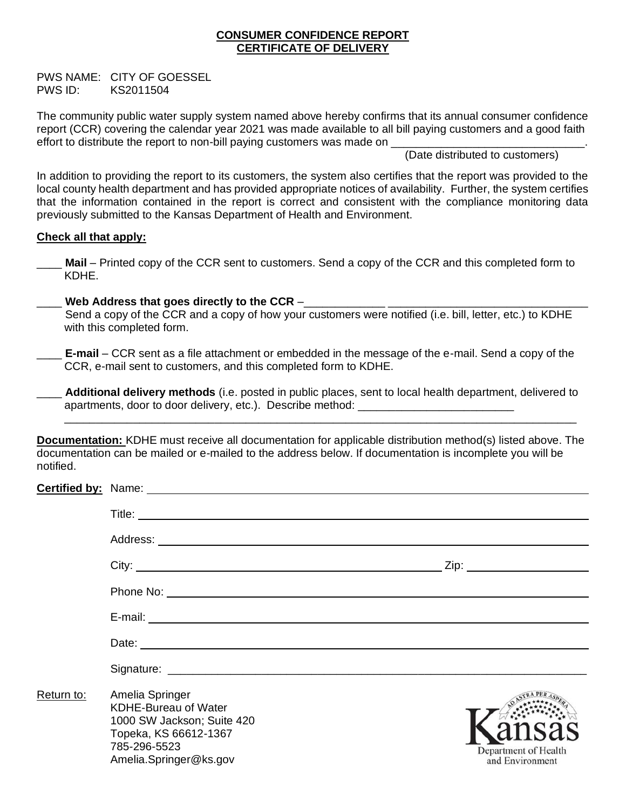# **CONSUMER CONFIDENCE REPORT CERTIFICATE OF DELIVERY**

PWS NAME: CITY OF GOESSEL PWS ID: KS2011504

The community public water supply system named above hereby confirms that its annual consumer confidence report (CCR) covering the calendar year 2021 was made available to all bill paying customers and a good faith effort to distribute the report to non-bill paying customers was made on

(Date distributed to customers)

In addition to providing the report to its customers, the system also certifies that the report was provided to the local county health department and has provided appropriate notices of availability. Further, the system certifies that the information contained in the report is correct and consistent with the compliance monitoring data previously submitted to the Kansas Department of Health and Environment.

# **Check all that apply:**

- Mail Printed copy of the CCR sent to customers. Send a copy of the CCR and this completed form to KDHE.
- Web Address that goes directly to the CCR –
- Send a copy of the CCR and a copy of how your customers were notified (i.e. bill, letter, etc.) to KDHE with this completed form.
- **E-mail** CCR sent as a file attachment or embedded in the message of the e-mail. Send a copy of the CCR, e-mail sent to customers, and this completed form to KDHE.
- \_\_\_\_ **Additional delivery methods** (i.e. posted in public places, sent to local health department, delivered to apartments, door to door delivery, etc.). Describe method:

\_\_\_\_\_\_\_\_\_\_\_\_\_\_\_\_\_\_\_\_\_\_\_\_\_\_\_\_\_\_\_\_\_\_\_\_\_\_\_\_\_\_\_\_\_\_\_\_\_\_\_\_\_\_\_\_\_\_\_\_\_\_\_\_\_\_\_\_\_\_\_\_\_\_\_\_\_\_\_\_\_\_

**Documentation:** KDHE must receive all documentation for applicable distribution method(s) listed above. The documentation can be mailed or e-mailed to the address below. If documentation is incomplete you will be notified.

|            | Phone No:                                                                                                                                       |                                         |
|------------|-------------------------------------------------------------------------------------------------------------------------------------------------|-----------------------------------------|
|            |                                                                                                                                                 |                                         |
|            |                                                                                                                                                 |                                         |
|            |                                                                                                                                                 |                                         |
| Return to: | Amelia Springer<br><b>KDHE-Bureau of Water</b><br>1000 SW Jackson; Suite 420<br>Topeka, KS 66612-1367<br>785-296-5523<br>Amelia.Springer@ks.gov | Department of Health<br>and Environment |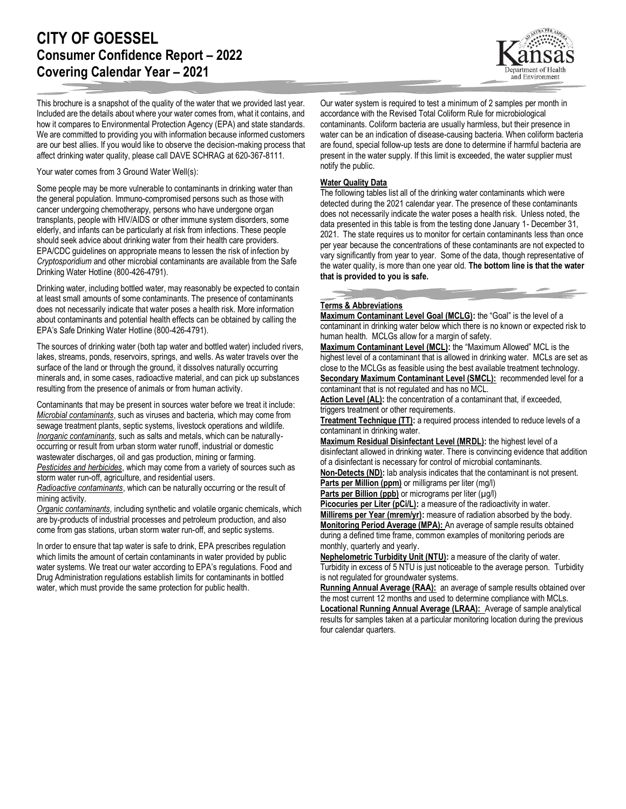# **CITY OF GOESSEL Consumer Confidence Report – 2022 Covering Calendar Year – 2021**

ment of Health and Environment

This brochure is a snapshot of the quality of the water that we provided last year. Included are the details about where your water comes from, what it contains, and how it compares to Environmental Protection Agency (EPA) and state standards. We are committed to providing you with information because informed customers are our best allies. If you would like to observe the decision-making process that affect drinking water quality, please call DAVE SCHRAG at 620-367-8111.

Your water comes from 3 Ground Water Well(s):

Some people may be more vulnerable to contaminants in drinking water than the general population. Immuno-compromised persons such as those with cancer undergoing chemotherapy, persons who have undergone organ transplants, people with HIV/AIDS or other immune system disorders, some elderly, and infants can be particularly at risk from infections. These people should seek advice about drinking water from their health care providers. EPA/CDC guidelines on appropriate means to lessen the risk of infection by *Cryptosporidium* and other microbial contaminants are available from the Safe Drinking Water Hotline (800-426-4791).

Drinking water, including bottled water, may reasonably be expected to contain at least small amounts of some contaminants. The presence of contaminants does not necessarily indicate that water poses a health risk. More information about contaminants and potential health effects can be obtained by calling the EPA's Safe Drinking Water Hotline (800-426-4791).

The sources of drinking water (both tap water and bottled water) included rivers, lakes, streams, ponds, reservoirs, springs, and wells. As water travels over the surface of the land or through the ground, it dissolves naturally occurring minerals and, in some cases, radioactive material, and can pick up substances resulting from the presence of animals or from human activity.

Contaminants that may be present in sources water before we treat it include: *Microbial contaminants*, such as viruses and bacteria, which may come from sewage treatment plants, septic systems, livestock operations and wildlife. *Inorganic contaminants*, such as salts and metals, which can be naturallyoccurring or result from urban storm water runoff, industrial or domestic wastewater discharges, oil and gas production, mining or farming. *Pesticides and herbicides*, which may come from a variety of sources such as storm water run-off, agriculture, and residential users.

*Radioactive contaminants*, which can be naturally occurring or the result of mining activity.

*Organic contaminants*, including synthetic and volatile organic chemicals, which are by-products of industrial processes and petroleum production, and also come from gas stations, urban storm water run-off, and septic systems.

In order to ensure that tap water is safe to drink, EPA prescribes regulation which limits the amount of certain contaminants in water provided by public water systems. We treat our water according to EPA's regulations. Food and Drug Administration regulations establish limits for contaminants in bottled water, which must provide the same protection for public health.

Our water system is required to test a minimum of 2 samples per month in accordance with the Revised Total Coliform Rule for microbiological contaminants. Coliform bacteria are usually harmless, but their presence in water can be an indication of disease-causing bacteria. When coliform bacteria are found, special follow-up tests are done to determine if harmful bacteria are present in the water supply. If this limit is exceeded, the water supplier must notify the public.

#### **Water Quality Data**

The following tables list all of the drinking water contaminants which were detected during the 2021 calendar year. The presence of these contaminants does not necessarily indicate the water poses a health risk. Unless noted, the data presented in this table is from the testing done January 1- December 31, 2021. The state requires us to monitor for certain contaminants less than once per year because the concentrations of these contaminants are not expected to vary significantly from year to year. Some of the data, though representative of the water quality, is more than one year old. **The bottom line is that the water that is provided to you is safe.**

### **Terms & Abbreviations**

**Maximum Contaminant Level Goal (MCLG):** the "Goal" is the level of a contaminant in drinking water below which there is no known or expected risk to human health. MCLGs allow for a margin of safety.

**Maximum Contaminant Level (MCL):** the "Maximum Allowed" MCL is the highest level of a contaminant that is allowed in drinking water. MCLs are set as close to the MCLGs as feasible using the best available treatment technology. **Secondary Maximum Contaminant Level (SMCL):** recommended level for a

contaminant that is not regulated and has no MCL. Action Level (AL): the concentration of a contaminant that, if exceeded, triggers treatment or other requirements.

**Treatment Technique (TT):** a required process intended to reduce levels of a contaminant in drinking water.

**Maximum Residual Disinfectant Level (MRDL):** the highest level of a disinfectant allowed in drinking water. There is convincing evidence that addition of a disinfectant is necessary for control of microbial contaminants.

**Non-Detects (ND):** lab analysis indicates that the contaminant is not present. **Parts per Million (ppm)** or milligrams per liter (mg/l)

Parts per Billion (ppb) or micrograms per liter (µg/l)

Picocuries per Liter (pCi/L): a measure of the radioactivity in water. **Millirems per Year (mrem/yr):** measure of radiation absorbed by the body. **Monitoring Period Average (MPA):** An average of sample results obtained during a defined time frame, common examples of monitoring periods are monthly, quarterly and yearly.

**Nephelometric Turbidity Unit (NTU):** a measure of the clarity of water. Turbidity in excess of 5 NTU is just noticeable to the average person. Turbidity is not regulated for groundwater systems.

**Running Annual Average (RAA):** an average of sample results obtained over the most current 12 months and used to determine compliance with MCLs. **Locational Running Annual Average (LRAA):** Average of sample analytical results for samples taken at a particular monitoring location during the previous four calendar quarters.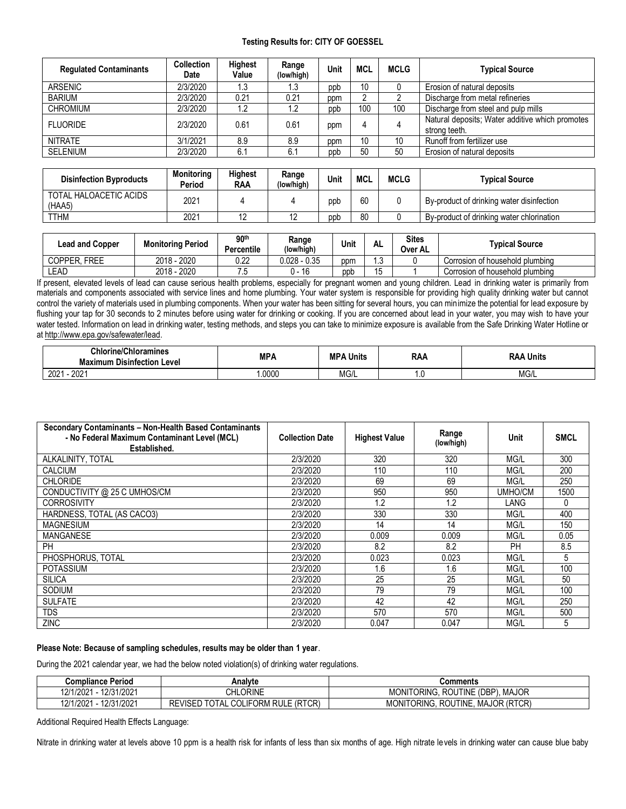## **Testing Results for: CITY OF GOESSEL**

| <b>Regulated Contaminants</b> | <b>Collection</b><br>Date | <b>Highest</b><br>Value | Range<br>(low/high) | Unit | MCL | <b>MCLG</b> | <b>Typical Source</b>                                            |
|-------------------------------|---------------------------|-------------------------|---------------------|------|-----|-------------|------------------------------------------------------------------|
| <b>ARSENIC</b>                | 2/3/2020                  | 1.3                     | 1.3                 | ppb  | 10  |             | Erosion of natural deposits                                      |
| <b>BARIUM</b>                 | 2/3/2020                  | 0.21                    | 0.21                | ppm  |     |             | Discharge from metal refineries                                  |
| <b>CHROMIUM</b>               | 2/3/2020                  | 1.2                     | 1.2                 | ppb  | 100 | 100         | Discharge from steel and pulp mills                              |
| <b>FLUORIDE</b>               | 2/3/2020                  | 0.61                    | 0.61                | ppm  | 4   |             | Natural deposits; Water additive which promotes<br>strong teeth. |
| <b>NITRATE</b>                | 3/1/2021                  | 8.9                     | 8.9                 | ppm  | 10  | 10          | Runoff from fertilizer use                                       |
| <b>SELENIUM</b>               | 2/3/2020                  | 6.1                     | 6.1                 | ppb  | 50  | 50          | Erosion of natural deposits                                      |

| <b>Disinfection Byproducts</b>   | <b>Monitoring</b><br>Period | Highest<br><b>RAA</b> | Range<br>(low/high) | Unit | <b>MCL</b> | <b>MCLG</b> | Typical Source                            |
|----------------------------------|-----------------------------|-----------------------|---------------------|------|------------|-------------|-------------------------------------------|
| TOTAL HALOACETIC ACIDS<br>(HAA5) | 2021                        |                       |                     | ppb  | 60         |             | By-product of drinking water disinfection |
| <b>TTHM</b>                      | 2021                        |                       |                     | ppb  | 80         |             | By-product of drinking water chlorination |

| <b>Lead and Copper</b> | <b>Monitoring Period</b> | 90 <sup>th</sup><br>Percentile | Range<br>(low/high) | Unit | AL             | Sites<br>Over AL | Typical Source                  |
|------------------------|--------------------------|--------------------------------|---------------------|------|----------------|------------------|---------------------------------|
| <b>FREE</b><br>COPPER. | 2018 - 2020              | $\overline{10}$<br>U.ZZ        | $0.028 - 0.35$      | ppm  | $\sim$<br>ں. ا |                  | Corrosion of household plumbing |
| LEAD                   | 2018 - 2020              | . ب                            | 16                  | ppb  |                |                  | Corrosion of household plumbing |

If present, elevated levels of lead can cause serious health problems, especially for pregnant women and young children. Lead in drinking water is primarily from materials and components associated with service lines and home plumbing. Your water system is responsible for providing high quality drinking water but cannot control the variety of materials used in plumbing components. When your water has been sitting for several hours, you can minimize the potential for lead exposure by flushing your tap for 30 seconds to 2 minutes before using water for drinking or cooking. If you are concerned about lead in your water, you may wish to have your water tested. Information on lead in drinking water, testing methods, and steps you can take to minimize exposure is available from the Safe Drinking Water Hotline or a[t http://www.epa.gov/safewater/lead.](http://www.epa.gov/safewater/lead)

| <b>Chlorine/Chloramines</b>       | МРА   | <b>MPA</b> | <b>RAA</b> | <b>RAA</b>       |  |
|-----------------------------------|-------|------------|------------|------------------|--|
| <b>Maximum Disinfection Level</b> |       | Units      |            | Units            |  |
| 2021<br>202                       | .0000 | MG/L       | .v         | $\sim$<br>IVIG/L |  |

| Secondary Contaminants - Non-Health Based Contaminants<br>- No Federal Maximum Contaminant Level (MCL)<br>Established. | <b>Collection Date</b> | <b>Highest Value</b> | Range<br>(low/high) | Unit      | <b>SMCL</b> |
|------------------------------------------------------------------------------------------------------------------------|------------------------|----------------------|---------------------|-----------|-------------|
| ALKALINITY, TOTAL                                                                                                      | 2/3/2020               | 320                  | 320                 | MG/L      | 300         |
| <b>CALCIUM</b>                                                                                                         | 2/3/2020               | 110                  | 110                 | MG/L      | 200         |
| <b>CHLORIDE</b>                                                                                                        | 2/3/2020               | 69                   | 69                  | MG/L      | 250         |
| CONDUCTIVITY @ 25 C UMHOS/CM                                                                                           | 2/3/2020               | 950                  | 950                 | UMHO/CM   | 1500        |
| <b>CORROSIVITY</b>                                                                                                     | 2/3/2020               | 1.2                  | 1.2                 | LANG      | 0           |
| HARDNESS, TOTAL (AS CACO3)                                                                                             | 2/3/2020               | 330                  | 330                 | MG/L      | 400         |
| <b>MAGNESIUM</b>                                                                                                       | 2/3/2020               | 14                   | 14                  | MG/L      | 150         |
| <b>MANGANESE</b>                                                                                                       | 2/3/2020               | 0.009                | 0.009               | MG/L      | 0.05        |
| PH                                                                                                                     | 2/3/2020               | 8.2                  | 8.2                 | <b>PH</b> | 8.5         |
| PHOSPHORUS, TOTAL                                                                                                      | 2/3/2020               | 0.023                | 0.023               | MG/L      | 5           |
| <b>POTASSIUM</b>                                                                                                       | 2/3/2020               | 1.6                  | 1.6                 | MG/L      | 100         |
| <b>SILICA</b>                                                                                                          | 2/3/2020               | 25                   | 25                  | MG/L      | 50          |
| <b>SODIUM</b>                                                                                                          | 2/3/2020               | 79                   | 79                  | MG/L      | 100         |
| <b>SULFATE</b>                                                                                                         | 2/3/2020               | 42                   | 42                  | MG/L      | 250         |
| <b>TDS</b>                                                                                                             | 2/3/2020               | 570                  | 570                 | MG/L      | 500         |
| ZINC                                                                                                                   | 2/3/2020               | 0.047                | 0.047               | MG/L      | 5           |

## **Please Note: Because of sampling schedules, results may be older than 1 year**.

During the 2021 calendar year, we had the below noted violation(s) of drinking water regulations.

| <b>Compliance Period</b> | Analvte                                                    | Comments                                               |
|--------------------------|------------------------------------------------------------|--------------------------------------------------------|
| 12/31/2021<br>12/1/2021  | <b>CHLORINE</b>                                            | . MAJOR<br>MONITORING, ROUTINE (DBP).                  |
| 12/31/2021<br>12/1/2021  | LE (RTCR)<br>TOTAL<br><b>COLIFORM RULE</b><br>RE<br>_viser | <b>MAJOR (RTCR)</b><br>toring. I<br>MONIT1<br>ROUTINE. |

Additional Required Health Effects Language:

Nitrate in drinking water at levels above 10 ppm is a health risk for infants of less than six months of age. High nitrate levels in drinking water can cause blue baby